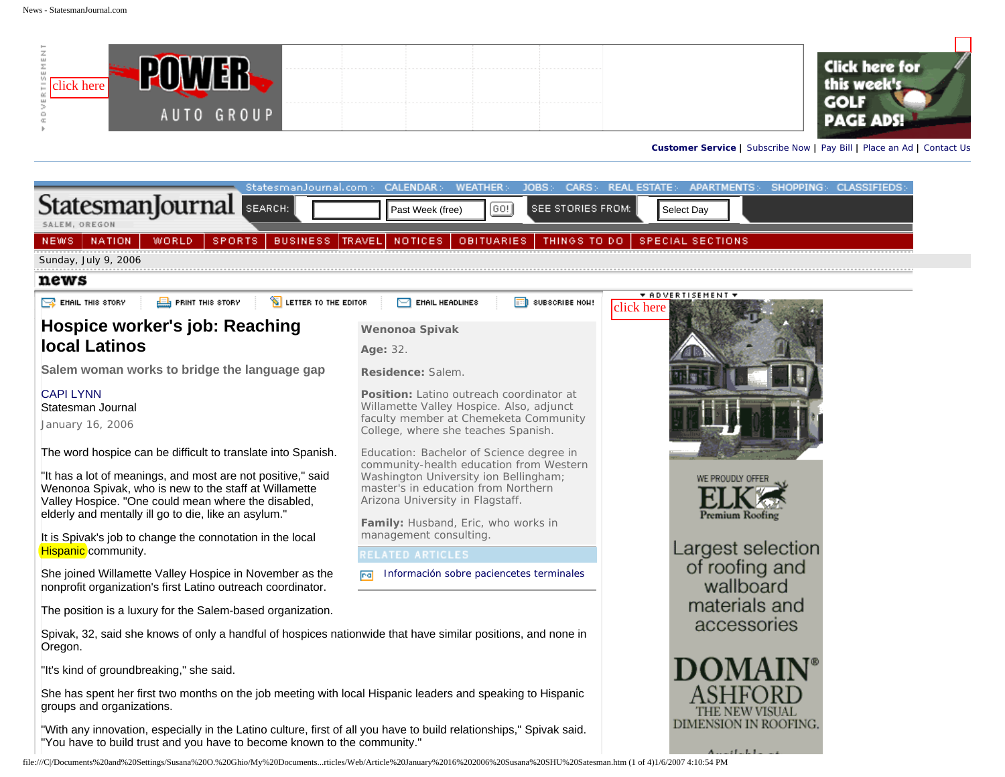| ш<br>lick here |            |  |  |
|----------------|------------|--|--|
|                | AUTO GROUP |  |  |



**[Customer Service](http://www.statesmanjournal.com/apps/pbcs.dll/section?Category=custserv) |** [Subscribe Now](http://news.statesmanjournal.com/services/frame_icon.cfm?lnk=s) **|** [Pay Bill](http://news.statesmanjournal.com/services/frame_icon.cfm?lnk=l) **|** [Place an Ad](http://online.statesmanjournal.com/classifieds/) **|** [Contact Us](http://news.statesmanjournal.com/services/contact_form.cfm)

| StatesmanJournal.com >                                                                                                                                                                                                                                                                              | <b>CALENDAR:</b><br><b>WEATHER:</b><br>JOBS:-                                                                                                                                                                                                  | CARS: REAL ESTATE:<br>APARTMENTS: SHOPPING: CLASSIFIEDS: |  |
|-----------------------------------------------------------------------------------------------------------------------------------------------------------------------------------------------------------------------------------------------------------------------------------------------------|------------------------------------------------------------------------------------------------------------------------------------------------------------------------------------------------------------------------------------------------|----------------------------------------------------------|--|
| StatesmanJournal<br>SEARCH:                                                                                                                                                                                                                                                                         | SEE STORIES FROM:<br>[GO!]<br>Past Week (free)                                                                                                                                                                                                 | Select Day                                               |  |
| SALEM, OREGON<br><b>NATION</b><br><b>WORLD</b><br>SPORTS.<br><b>BUSINESS</b><br>NEWS.                                                                                                                                                                                                               | <b>OBITUARIES</b><br>THINGS TO DO<br>TRAVEL.<br><b>NOTICES</b>                                                                                                                                                                                 | <b>SPECIAL SECTIONS</b>                                  |  |
| Sunday, July 9, 2006                                                                                                                                                                                                                                                                                |                                                                                                                                                                                                                                                |                                                          |  |
| news                                                                                                                                                                                                                                                                                                |                                                                                                                                                                                                                                                |                                                          |  |
| ER EMAIL THIS STORY<br><b>S</b> LETTER TO THE EDITOR<br><b>EN</b> PRINT THIS STORY                                                                                                                                                                                                                  | EMAIL HEADLINES<br>SUBSCRIBE NOW!                                                                                                                                                                                                              | $\star$ advertisement $\star$<br>click here              |  |
| Hospice worker's job: Reaching                                                                                                                                                                                                                                                                      | Wenonoa Spivak                                                                                                                                                                                                                                 |                                                          |  |
| <b>local Latinos</b>                                                                                                                                                                                                                                                                                | Age: 32.                                                                                                                                                                                                                                       |                                                          |  |
| Salem woman works to bridge the language gap                                                                                                                                                                                                                                                        | Residence: Salem.                                                                                                                                                                                                                              |                                                          |  |
| <b>CAPI LYNN</b><br>Statesman Journal<br>January 16, 2006                                                                                                                                                                                                                                           | Position: Latino outreach coordinator at<br>Willamette Valley Hospice. Also, adjunct<br>faculty member at Chemeketa Community<br>College, where she teaches Spanish.                                                                           |                                                          |  |
| The word hospice can be difficult to translate into Spanish.<br>"It has a lot of meanings, and most are not positive," said<br>Wenonoa Spivak, who is new to the staff at Willamette<br>Valley Hospice. "One could mean where the disabled,<br>elderly and mentally ill go to die, like an asylum." | Education: Bachelor of Science degree in<br>community-health education from Western<br>Washington University ion Bellingham;<br>master's in education from Northern<br>Arizona University in Flagstaff.<br>Family: Husband, Eric, who works in | WE PROUDLY OFF<br>Premium Roofing                        |  |
| It is Spivak's job to change the connotation in the local<br>Hispanic community.                                                                                                                                                                                                                    | management consulting.<br>RELATED ARTICLES                                                                                                                                                                                                     | Largest selection                                        |  |
| She joined Willamette Valley Hospice in November as the<br>nonprofit organization's first Latino outreach coordinator.                                                                                                                                                                              | Información sobre paciencetes terminales<br>mal                                                                                                                                                                                                | of roofing and<br>wallboard                              |  |
| The position is a luxury for the Salem-based organization.                                                                                                                                                                                                                                          | materials and                                                                                                                                                                                                                                  |                                                          |  |
| Spivak, 32, said she knows of only a handful of hospices nationwide that have similar positions, and none in<br>Oregon.                                                                                                                                                                             |                                                                                                                                                                                                                                                | accessories                                              |  |
| "It's kind of groundbreaking," she said.                                                                                                                                                                                                                                                            |                                                                                                                                                                                                                                                |                                                          |  |
| She has spent her first two months on the job meeting with local Hispanic leaders and speaking to Hispanic<br>groups and organizations.                                                                                                                                                             | THE NEW VISUAL                                                                                                                                                                                                                                 |                                                          |  |
| "With any innovation, especially in the Latino culture, first of all you have to build relationships," Spivak said.<br>"You have to build trust and you have to become known to the community."                                                                                                     | DIMENSION IN ROOFING.<br>$-11 - 1 - 1$                                                                                                                                                                                                         |                                                          |  |
| hle:///C/Documents%20and%20Settings/Susana%20O.%20Ghio/My%20Documentsrticles/Web/Article%20January%2016%202006%20Susana%20SHU%20Satesman.htm (1 of 4)1/6/2007 4:10:54 PM                                                                                                                            |                                                                                                                                                                                                                                                |                                                          |  |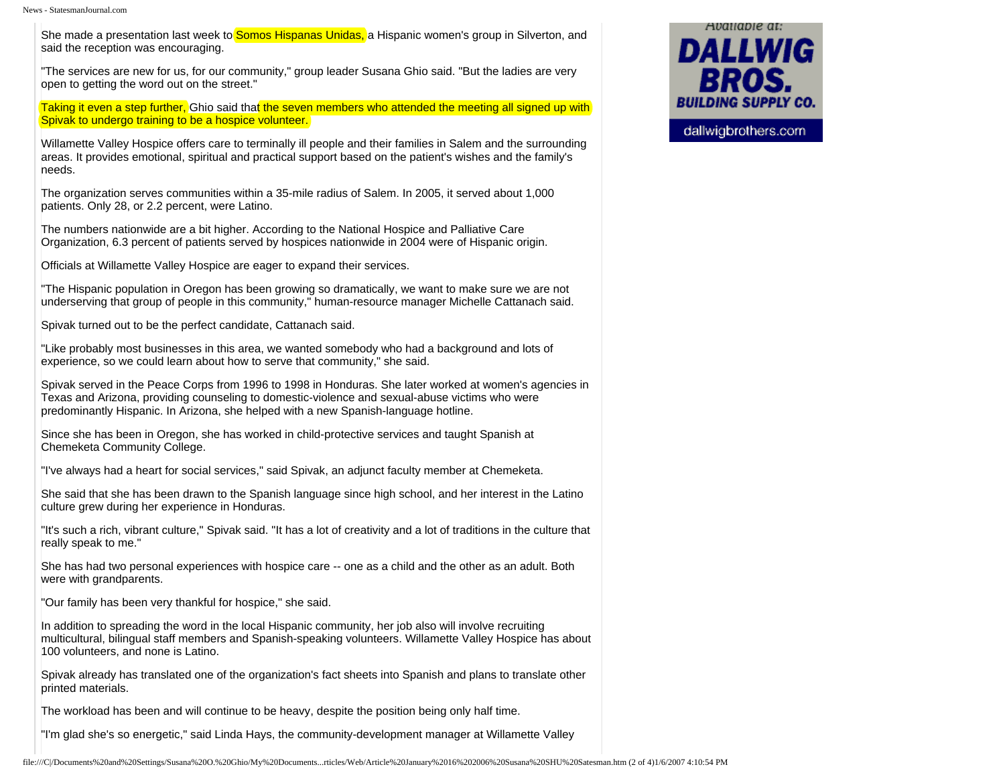News - StatesmanJournal.com

She made a presentation last week to **Somos Hispanas Unidas**, a Hispanic women's group in Silverton, and said the reception was encouraging.

"The services are new for us, for our community," group leader Susana Ghio said. "But the ladies are very open to getting the word out on the street."

Taking it even a step further, Ghio said that the seven members who attended the meeting all signed up with Spivak to undergo training to be a hospice volunteer.

Willamette Valley Hospice offers care to terminally ill people and their families in Salem and the surrounding areas. It provides emotional, spiritual and practical support based on the patient's wishes and the family's needs.

The organization serves communities within a 35-mile radius of Salem. In 2005, it served about 1,000 patients. Only 28, or 2.2 percent, were Latino.

The numbers nationwide are a bit higher. According to the National Hospice and Palliative Care Organization, 6.3 percent of patients served by hospices nationwide in 2004 were of Hispanic origin.

Officials at Willamette Valley Hospice are eager to expand their services.

"The Hispanic population in Oregon has been growing so dramatically, we want to make sure we are not underserving that group of people in this community," human-resource manager Michelle Cattanach said.

Spivak turned out to be the perfect candidate, Cattanach said.

"Like probably most businesses in this area, we wanted somebody who had a background and lots of experience, so we could learn about how to serve that community," she said.

Spivak served in the Peace Corps from 1996 to 1998 in Honduras. She later worked at women's agencies in Texas and Arizona, providing counseling to domestic-violence and sexual-abuse victims who were predominantly Hispanic. In Arizona, she helped with a new Spanish-language hotline.

Since she has been in Oregon, she has worked in child-protective services and taught Spanish at Chemeketa Community College.

"I've always had a heart for social services," said Spivak, an adjunct faculty member at Chemeketa.

She said that she has been drawn to the Spanish language since high school, and her interest in the Latino culture grew during her experience in Honduras.

"It's such a rich, vibrant culture," Spivak said. "It has a lot of creativity and a lot of traditions in the culture that really speak to me."

She has had two personal experiences with hospice care -- one as a child and the other as an adult. Both were with grandparents.

"Our family has been very thankful for hospice," she said.

In addition to spreading the word in the local Hispanic community, her job also will involve recruiting multicultural, bilingual staff members and Spanish-speaking volunteers. Willamette Valley Hospice has about 100 volunteers, and none is Latino.

Spivak already has translated one of the organization's fact sheets into Spanish and plans to translate other printed materials.

The workload has been and will continue to be heavy, despite the position being only half time.

"I'm glad she's so energetic," said Linda Hays, the community-development manager at Willamette Valley

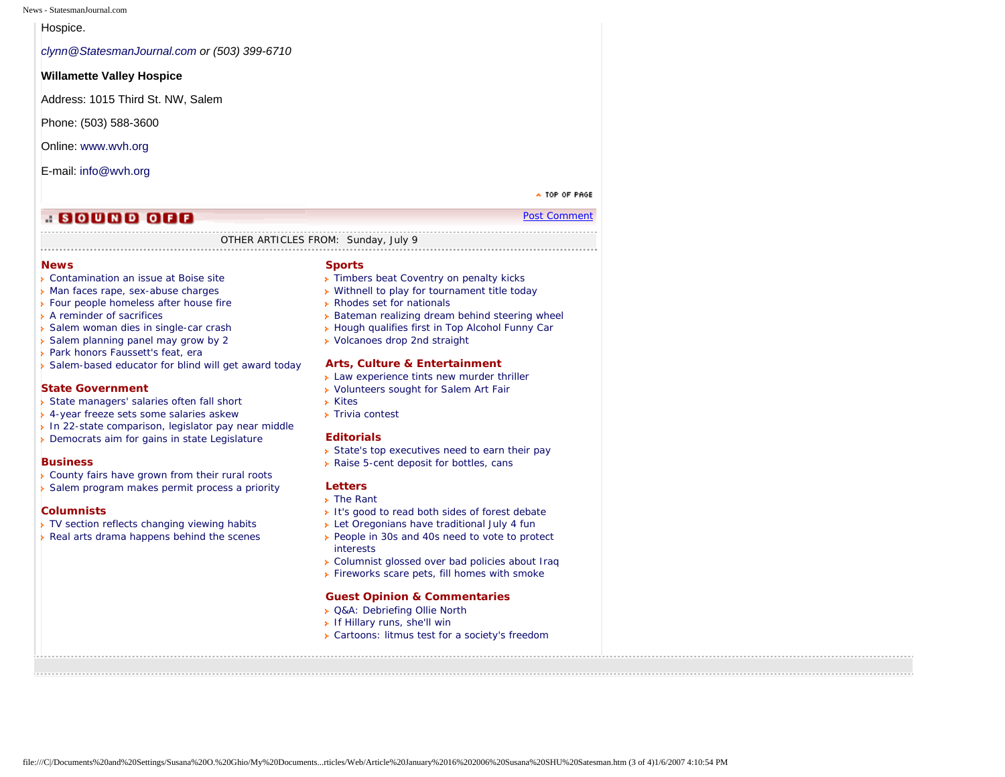News - StatesmanJournal.com

Hospice.

*[clynn@StatesmanJournal.com](mailto:clynn@StatesmanJournal.com) or (503) 399-6710*

# **Willamette Valley Hospice**

Address: 1015 Third St. NW, Salem

Phone: (503) 588-3600

Online: [www.wvh.org](http://www.wvh.org/)

E-mail: [info@wvh.org](mailto:info@wvh.org)

A TOP OF PAGE [Post Comment](http://news.statesmanjournal.com/sjforum/start_topic.cfm?forum=19&artid=601160319&headline=Hospice%20worker%27s%20job:%20Reaching%20local%20Latinos)

# **A SOUND OFF**

# OTHER ARTICLES FROM: Sunday, July 9

# **[News](http://159.54.226.83/apps/pbcs.dll/section?Category=NEWS)**

- [Contamination an issue at Boise site](http://159.54.226.83/apps/pbcs.dll/article?AID=/20060709/NEWS/607090327)
- **[Man faces rape, sex-abuse charges](http://159.54.226.83/apps/pbcs.dll/article?AID=/20060709/NEWS/607090318)**
- **[Four people homeless after house fire](http://159.54.226.83/apps/pbcs.dll/article?AID=/20060709/NEWS/607090316)**
- [A reminder of sacrifices](http://159.54.226.83/apps/pbcs.dll/article?AID=/20060709/NEWS/607090320)
- [Salem woman dies in single-car crash](http://159.54.226.83/apps/pbcs.dll/article?AID=/20060709/NEWS/607090317)
- [Salem planning panel may grow by 2](http://159.54.226.83/apps/pbcs.dll/article?AID=/20060709/NEWS/607090319)
- [Park honors Faussett's feat, era](http://159.54.226.83/apps/pbcs.dll/article?AID=/20060709/NEWS/607090323)
- [Salem-based educator for blind will get award today](http://159.54.226.83/apps/pbcs.dll/article?AID=/20060709/NEWS/607090321)

# **[State Government](http://159.54.226.83/apps/pbcs.dll/section?Category=STATE)**

- [State managers' salaries often fall short](http://159.54.226.83/apps/pbcs.dll/article?AID=/20060709/STATE/607090329/1042)
- [4-year freeze sets some salaries askew](http://159.54.226.83/apps/pbcs.dll/article?AID=/20060709/STATE/607090325/1042)
- [In 22-state comparison, legislator pay near middle](http://159.54.226.83/apps/pbcs.dll/article?AID=/20060709/STATE/607090324/1042)
- [Democrats aim for gains in state Legislature](http://159.54.226.83/apps/pbcs.dll/article?AID=/20060709/STATE/607090322/1042)

# **[Business](http://159.54.226.83/apps/pbcs.dll/section?Category=BUSINESS)**

- **[County fairs have grown from their rural roots](http://159.54.226.83/apps/pbcs.dll/article?AID=/20060709/BUSINESS/607090304/1040)**
- [Salem program makes permit process a priority](http://159.54.226.83/apps/pbcs.dll/article?AID=/20060709/BUSINESS/607090303/1040)

# **[Columnists](http://159.54.226.83/apps/pbcs.dll/section?Category=COLUMN)**

- [TV section reflects changing viewing habits](http://159.54.226.83/apps/pbcs.dll/article?AID=/20060709/COLUMN0701/607090315/1064)
- [Real arts drama happens behind the scenes](http://159.54.226.83/apps/pbcs.dll/article?AID=/20060709/COLUMN0801/607090306/1064)

#### **[Sports](http://159.54.226.83/apps/pbcs.dll/section?Category=SPORTS)**

- **Fimbers beat Coventry on penalty kicks**
- [Withnell to play for tournament title today](http://159.54.226.83/apps/pbcs.dll/article?AID=/20060709/SPORTS/607090333/1018)
- [Rhodes set for nationals](http://159.54.226.83/apps/pbcs.dll/article?AID=/20060709/SPORTS/607090330/1018)
- **[Bateman realizing dream behind steering wheel](http://159.54.226.83/apps/pbcs.dll/article?AID=/20060709/SPORTS/607090332/1018)**
- **[Hough qualifies first in Top Alcohol Funny Car](http://159.54.226.83/apps/pbcs.dll/article?AID=/20060709/SPORTS/607090326/1018)**
- [Volcanoes drop 2nd straight](http://159.54.226.83/apps/pbcs.dll/article?AID=/20060709/SPORTS/607090331/1018)

# **[Arts, Culture & Entertainment](http://159.54.226.83/apps/pbcs.dll/section?Category=LIFE)**

- **[Law experience tints new murder thriller](http://159.54.226.83/apps/pbcs.dll/article?AID=/20060709/LIFE/607090301/1059)**
- **[Volunteers sought for Salem Art Fair](http://159.54.226.83/apps/pbcs.dll/article?AID=/20060709/LIFE/607090302/1059)**
- [Kites](http://159.54.226.83/apps/pbcs.dll/article?AID=/20060709/LIFE/607090305/1059)
- **Fivia contest**

# **[Editorials](http://159.54.226.83/apps/pbcs.dll/section?Category=OPINION)**

- [State's top executives need to earn their pay](http://159.54.226.83/apps/pbcs.dll/article?AID=/20060709/OPINION/607090309/1048)
- **[Raise 5-cent deposit for bottles, cans](http://159.54.226.83/apps/pbcs.dll/article?AID=/20060709/OPINION/607090308/1048)**

# **[Letters](http://159.54.226.83/apps/pbcs.dll/section?Category=OPINION)**

- [The Rant](http://159.54.226.83/apps/pbcs.dll/article?AID=/20060709/OPINION/607090307/1050)
- [It's good to read both sides of forest debate](http://159.54.226.83/apps/pbcs.dll/article?AID=/20060709/OPINION/607090314/1050)
- **[Let Oregonians have traditional July 4 fun](http://159.54.226.83/apps/pbcs.dll/article?AID=/20060709/OPINION/607090311/1050)**
- [People in 30s and 40s need to vote to protect](http://159.54.226.83/apps/pbcs.dll/article?AID=/20060709/OPINION/607090310/1050) [interests](http://159.54.226.83/apps/pbcs.dll/article?AID=/20060709/OPINION/607090310/1050)
- [Columnist glossed over bad policies about Iraq](http://159.54.226.83/apps/pbcs.dll/article?AID=/20060709/OPINION/607090313/1050)
- [Fireworks scare pets, fill homes with smoke](http://159.54.226.83/apps/pbcs.dll/article?AID=/20060709/OPINION/607090312/1050)

# **[Guest Opinion & Commentaries](http://159.54.226.83/apps/pbcs.dll/section?Category=OPINION)**

- [Q&A: Debriefing Ollie North](http://159.54.226.83/apps/pbcs.dll/article?AID=/20060709/OPINION/60708005/1049)
- **[If Hillary runs, she'll win](http://159.54.226.83/apps/pbcs.dll/article?AID=/20060709/OPINION/60708004/1049)**
- [Cartoons: litmus test for a society's freedom](http://159.54.226.83/apps/pbcs.dll/article?AID=/20060709/OPINION/60708003/1049)